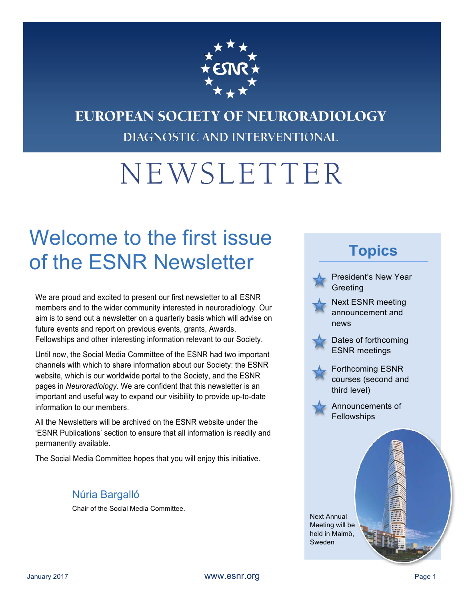

## EUROPEAN SOCIETY OF NEURORADIOLOGY DIAGNOSTIC AND INTERVENTIONAL

# NEWSLETTER

## Welcome to the first issue of the ESNR Newsletter

We are proud and excited to present our first newsletter to all ESNR members and to the wider community interested in neuroradiology. Our aim is to send out a newsletter on a quarterly basis which will advise on future events and report on previous events, grants, Awards, Fellowships and other interesting information relevant to our Society.

Until now, the Social Media Committee of the ESNR had two important channels with which to share information about our Society: the ESNR website, which is our worldwide portal to the Society, and the ESNR pages in *Neuroradiology*. We are confident that this newsletter is an important and useful way to expand our visibility to provide up-to-date information to our members.

All the Newsletters will be archived on the ESNR website under the 'ESNR Publications' section to ensure that all information is readily and permanently available.

The Social Media Committee hopes that you will enjoy this initiative.

#### Núria Bargalló

Chair of the Social Media Committee.

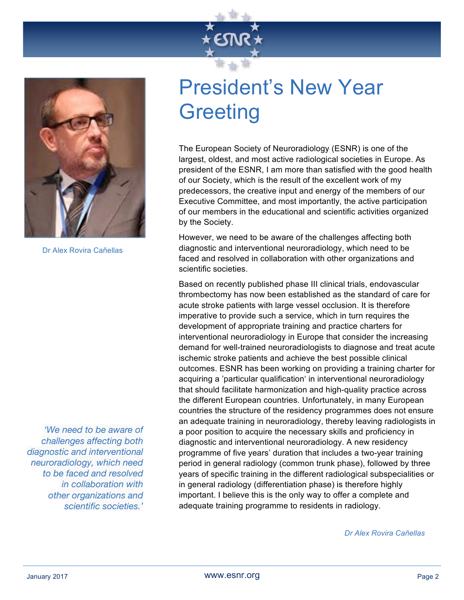



Dr Alex Rovira Cañellas

*'We need to be aware of challenges affecting both diagnostic and interventional neuroradiology, which need to be faced and resolved in collaboration with other organizations and scientific societies.'*

## President's New Year **Greeting**

The European Society of Neuroradiology (ESNR) is one of the largest, oldest, and most active radiological societies in Europe. As president of the ESNR, I am more than satisfied with the good health of our Society, which is the result of the excellent work of my predecessors, the creative input and energy of the members of our Executive Committee, and most importantly, the active participation of our members in the educational and scientific activities organized by the Society.

However, we need to be aware of the challenges affecting both diagnostic and interventional neuroradiology, which need to be faced and resolved in collaboration with other organizations and scientific societies.

Based on recently published phase III clinical trials, endovascular thrombectomy has now been established as the standard of care for acute stroke patients with large vessel occlusion. It is therefore imperative to provide such a service, which in turn requires the development of appropriate training and practice charters for interventional neuroradiology in Europe that consider the increasing demand for well-trained neuroradiologists to diagnose and treat acute ischemic stroke patients and achieve the best possible clinical outcomes. ESNR has been working on providing a training charter for acquiring a 'particular qualification' in interventional neuroradiology that should facilitate harmonization and high-quality practice across the different European countries. Unfortunately, in many European countries the structure of the residency programmes does not ensure an adequate training in neuroradiology, thereby leaving radiologists in a poor position to acquire the necessary skills and proficiency in diagnostic and interventional neuroradiology. A new residency programme of five years' duration that includes a two-year training period in general radiology (common trunk phase), followed by three years of specific training in the different radiological subspecialities or in general radiology (differentiation phase) is therefore highly important. I believe this is the only way to offer a complete and adequate training programme to residents in radiology.

*Dr Alex Rovira Cañellas*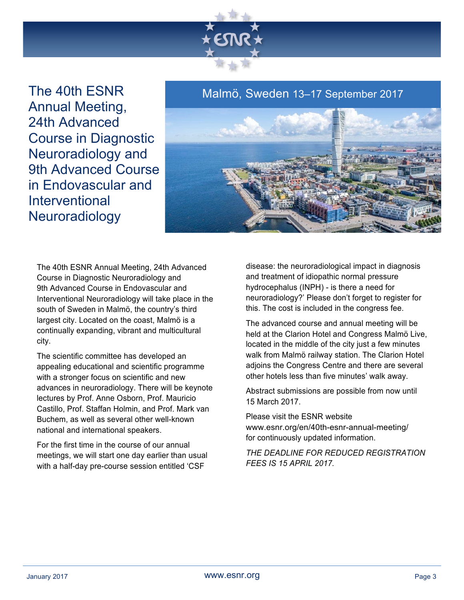

The 40th ESNR Annual Meeting, 24th Advanced Course in Diagnostic Neuroradiology and 9th Advanced Course in Endovascular and Interventional **Neuroradiology** 

#### Malmö, Sweden 13–17 September 2017



The 40th ESNR Annual Meeting, 24th Advanced Course in Diagnostic Neuroradiology and 9th Advanced Course in Endovascular and Interventional Neuroradiology will take place in the south of Sweden in Malmö, the country's third largest city. Located on the coast, Malmö is a continually expanding, vibrant and multicultural city.

The scientific committee has developed an appealing educational and scientific programme with a stronger focus on scientific and new advances in neuroradiology. There will be keynote lectures by Prof. Anne Osborn, Prof. Mauricio Castillo, Prof. Staffan Holmin, and Prof. Mark van Buchem, as well as several other well-known national and international speakers.

For the first time in the course of our annual meetings, we will start one day earlier than usual with a half-day pre-course session entitled 'CSF

disease: the neuroradiological impact in diagnosis and treatment of idiopathic normal pressure hydrocephalus (INPH) - is there a need for neuroradiology?' Please don't forget to register for this. The cost is included in the congress fee.

The advanced course and annual meeting will be held at the Clarion Hotel and Congress Malmö Live, located in the middle of the city just a few minutes walk from Malmö railway station. The Clarion Hotel adjoins the Congress Centre and there are several other hotels less than five minutes' walk away.

Abstract submissions are possible from now until 15 March 2017.

Please visit the ESNR website www.esnr.org/en/40th-esnr-annual-meeting/ for continuously updated information.

*THE DEADLINE FOR REDUCED REGISTRATION FEES IS 15 APRIL 2017.*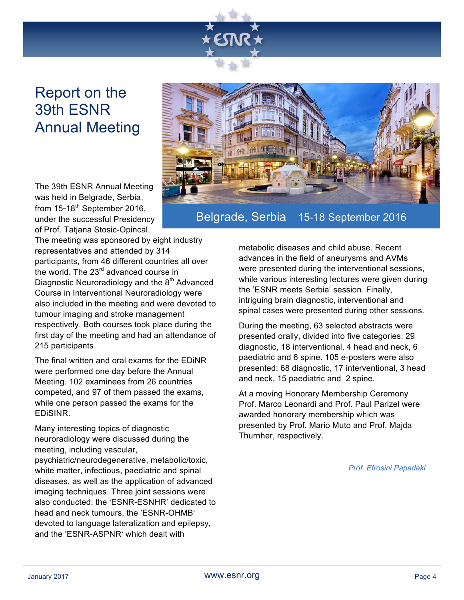

### Report on the 39th ESNR Annual Meeting

The 39th ESNR Annual Meeting was held in Belgrade, Serbia, from 15-18<sup>th</sup> September 2016, under the successful Presidency of Prof. Tatjana Stosic-Opincal.

The meeting was sponsored by eight industry representatives and attended by 314 participants, from 46 different countries all over the world. The 23<sup>rd</sup> advanced course in Diagnostic Neuroradiology and the 8<sup>th</sup> Advanced Course in Interventional Neuroradiology were also included in the meeting and were devoted to tumour imaging and stroke management respectively. Both courses took place during the first day of the meeting and had an attendance of 215 participants.

The final written and oral exams for the EDiNR were performed one day before the Annual Meeting. 102 examinees from 26 countries competed, and 97 of them passed the exams, while one person passed the exams for the EDiSINR.

Many interesting topics of diagnostic neuroradiology were discussed during the meeting, including vascular,

psychiatric/neurodegenerative, metabolic/toxic, white matter, infectious, paediatric and spinal diseases, as well as the application of advanced imaging techniques. Three joint sessions were also conducted: the 'ESNR-ESNHR' dedicated to head and neck tumours, the 'ESNR-OHMB' devoted to language lateralization and epilepsy, and the 'ESNR-ASPNR' which dealt with



#### Belgrade, Serbia 15-18 September 2016

metabolic diseases and child abuse. Recent advances in the field of aneurysms and AVMs were presented during the interventional sessions, while various interesting lectures were given during the 'ESNR meets Serbia' session. Finally, intriguing brain diagnostic, interventional and spinal cases were presented during other sessions.

During the meeting, 63 selected abstracts were presented orally, divided into five categories: 29 diagnostic, 18 interventional, 4 head and neck, 6 paediatric and 6 spine. 105 e-posters were also presented: 68 diagnostic, 17 interventional, 3 head and neck, 15 paediatric and 2 spine.

At a moving Honorary Membership Ceremony Prof. Marco Leonardi and Prof. Paul Parizel were awarded honorary membership which was presented by Prof. Mario Muto and Prof. Majda Thurnher, respectively.

*Prof. Efrosini Papadaki*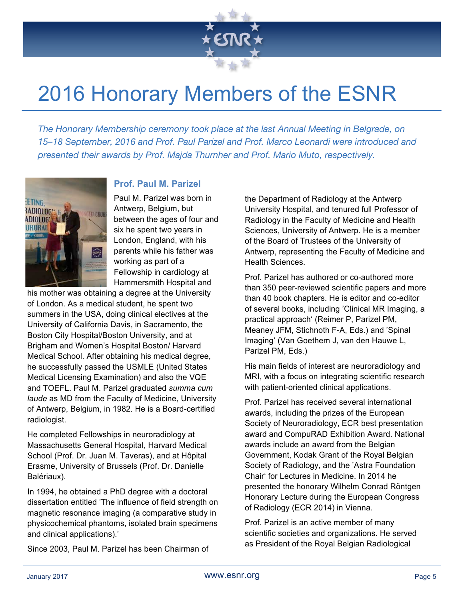

## 2016 Honorary Members of the ESNR

*The Honorary Membership ceremony took place at the last Annual Meeting in Belgrade, on 15–18 September, 2016 and Prof. Paul Parizel and Prof. Marco Leonardi were introduced and presented their awards by Prof. Majda Thurnher and Prof. Mario Muto, respectively.*



#### **Prof. Paul M. Parizel**

Paul M. Parizel was born in Antwerp, Belgium, but between the ages of four and six he spent two years in London, England, with his parents while his father was working as part of a Fellowship in cardiology at Hammersmith Hospital and

his mother was obtaining a degree at the University of London. As a medical student, he spent two summers in the USA, doing clinical electives at the University of California Davis, in Sacramento, the Boston City Hospital/Boston University, and at Brigham and Women's Hospital Boston/ Harvard Medical School. After obtaining his medical degree, he successfully passed the USMLE (United States Medical Licensing Examination) and also the VQE and TOEFL. Paul M. Parizel graduated *summa cum laude* as MD from the Faculty of Medicine, University of Antwerp, Belgium, in 1982. He is a Board-certified radiologist.

He completed Fellowships in neuroradiology at Massachusetts General Hospital, Harvard Medical School (Prof. Dr. Juan M. Taveras), and at Hôpital Erasme, University of Brussels (Prof. Dr. Danielle Balériaux).

In 1994, he obtained a PhD degree with a doctoral dissertation entitled 'The influence of field strength on magnetic resonance imaging (a comparative study in physicochemical phantoms, isolated brain specimens and clinical applications).'

Since 2003, Paul M. Parizel has been Chairman of

the Department of Radiology at the Antwerp University Hospital, and tenured full Professor of Radiology in the Faculty of Medicine and Health Sciences, University of Antwerp. He is a member of the Board of Trustees of the University of Antwerp, representing the Faculty of Medicine and Health Sciences.

Prof. Parizel has authored or co-authored more than 350 peer-reviewed scientific papers and more than 40 book chapters. He is editor and co-editor of several books, including 'Clinical MR Imaging, a practical approach' (Reimer P, Parizel PM, Meaney JFM, Stichnoth F-A, Eds.) and 'Spinal Imaging' (Van Goethem J, van den Hauwe L, Parizel PM, Eds.)

His main fields of interest are neuroradiology and MRI, with a focus on integrating scientific research with patient-oriented clinical applications.

Prof. Parizel has received several international awards, including the prizes of the European Society of Neuroradiology, ECR best presentation award and CompuRAD Exhibition Award. National awards include an award from the Belgian Government, Kodak Grant of the Royal Belgian Society of Radiology, and the 'Astra Foundation Chair' for Lectures in Medicine. In 2014 he presented the honorary Wilhelm Conrad Röntgen Honorary Lecture during the European Congress of Radiology (ECR 2014) in Vienna.

Prof. Parizel is an active member of many scientific societies and organizations. He served as President of the Royal Belgian Radiological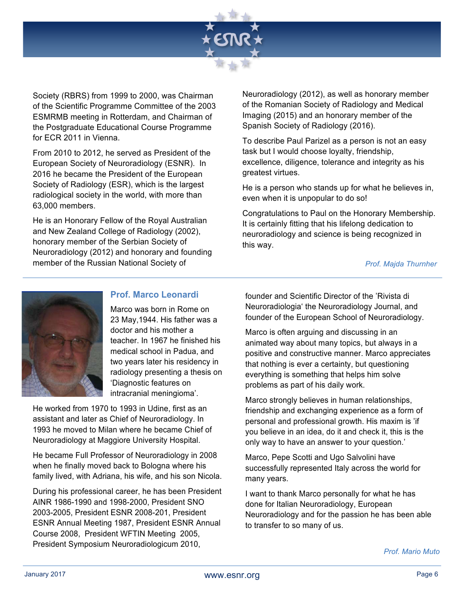

Society (RBRS) from 1999 to 2000, was Chairman of the Scientific Programme Committee of the 2003 ESMRMB meeting in Rotterdam, and Chairman of the Postgraduate Educational Course Programme for ECR 2011 in Vienna.

From 2010 to 2012, he served as President of the European Society of Neuroradiology (ESNR). In 2016 he became the President of the European Society of Radiology (ESR), which is the largest radiological society in the world, with more than 63,000 members.

He is an Honorary Fellow of the Royal Australian and New Zealand College of Radiology (2002), honorary member of the Serbian Society of Neuroradiology (2012) and honorary and founding member of the Russian National Society of

Neuroradiology (2012), as well as honorary member of the Romanian Society of Radiology and Medical Imaging (2015) and an honorary member of the Spanish Society of Radiology (2016).

To describe Paul Parizel as a person is not an easy task but I would choose loyalty, friendship, excellence, diligence, tolerance and integrity as his greatest virtues.

He is a person who stands up for what he believes in, even when it is unpopular to do so!

Congratulations to Paul on the Honorary Membership. It is certainly fitting that his lifelong dedication to neuroradiology and science is being recognized in this way.

#### *Prof. Majda Thurnher*



#### **Prof. Marco Leonardi**

Marco was born in Rome on 23 May,1944. His father was a doctor and his mother a teacher. In 1967 he finished his medical school in Padua, and two years later his residency in radiology presenting a thesis on 'Diagnostic features on intracranial meningioma'.

He worked from 1970 to 1993 in Udine, first as an assistant and later as Chief of Neuroradiology. In 1993 he moved to Milan where he became Chief of Neuroradiology at Maggiore University Hospital.

He became Full Professor of Neuroradiology in 2008 when he finally moved back to Bologna where his family lived, with Adriana, his wife, and his son Nicola.

During his professional career, he has been President AINR 1986-1990 and 1998-2000, President SNO 2003-2005, President ESNR 2008-201, President ESNR Annual Meeting 1987, President ESNR Annual Course 2008, President WFTIN Meeting 2005, President Symposium Neuroradiologicum 2010, *Prof. Mario Muto*

founder and Scientific Director of the 'Rivista di Neuroradiologia' the Neuroradiology Journal, and founder of the European School of Neuroradiology.

Marco is often arguing and discussing in an animated way about many topics, but always in a positive and constructive manner. Marco appreciates that nothing is ever a certainty, but questioning everything is something that helps him solve problems as part of his daily work.

Marco strongly believes in human relationships, friendship and exchanging experience as a form of personal and professional growth. His maxim is 'if you believe in an idea, do it and check it, this is the only way to have an answer to your question.'

Marco, Pepe Scotti and Ugo Salvolini have successfully represented Italy across the world for many years.

I want to thank Marco personally for what he has done for Italian Neuroradiology, European Neuroradiology and for the passion he has been able to transfer to so many of us.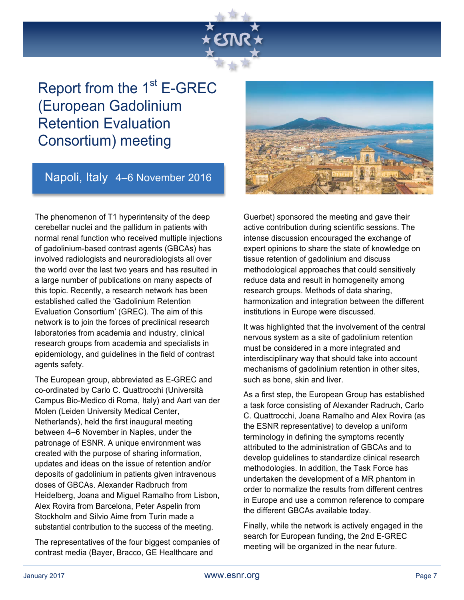## Report from the  $1<sup>st</sup>$  E-GREC (European Gadolinium Retention Evaluation Consortium) meeting

### Napoli, Italy 4–6 November 2016

The phenomenon of T1 hyperintensity of the deep cerebellar nuclei and the pallidum in patients with normal renal function who received multiple injections of gadolinium-based contrast agents (GBCAs) has involved radiologists and neuroradiologists all over the world over the last two years and has resulted in a large number of publications on many aspects of this topic. Recently, a research network has been established called the 'Gadolinium Retention Evaluation Consortium' (GREC). The aim of this network is to join the forces of preclinical research laboratories from academia and industry, clinical research groups from academia and specialists in epidemiology, and guidelines in the field of contrast agents safety.

The European group, abbreviated as E-GREC and co-ordinated by Carlo C. Quattrocchi (Università Campus Bio-Medico di Roma, Italy) and Aart van der Molen (Leiden University Medical Center, Netherlands), held the first inaugural meeting between 4–6 November in Naples, under the patronage of ESNR. A unique environment was created with the purpose of sharing information, updates and ideas on the issue of retention and/or deposits of gadolinium in patients given intravenous doses of GBCAs. Alexander Radbruch from Heidelberg, Joana and Miguel Ramalho from Lisbon, Alex Rovira from Barcelona, Peter Aspelin from Stockholm and Silvio Aime from Turin made a substantial contribution to the success of the meeting.

The representatives of the four biggest companies of contrast media (Bayer, Bracco, GE Healthcare and



Guerbet) sponsored the meeting and gave their active contribution during scientific sessions. The intense discussion encouraged the exchange of expert opinions to share the state of knowledge on tissue retention of gadolinium and discuss methodological approaches that could sensitively reduce data and result in homogeneity among research groups. Methods of data sharing, harmonization and integration between the different institutions in Europe were discussed.

It was highlighted that the involvement of the central nervous system as a site of gadolinium retention must be considered in a more integrated and interdisciplinary way that should take into account mechanisms of gadolinium retention in other sites, such as bone, skin and liver.

As a first step, the European Group has established a task force consisting of Alexander Radruch, Carlo C. Quattrocchi, Joana Ramalho and Alex Rovira (as the ESNR representative) to develop a uniform terminology in defining the symptoms recently attributed to the administration of GBCAs and to develop guidelines to standardize clinical research methodologies. In addition, the Task Force has undertaken the development of a MR phantom in order to normalize the results from different centres in Europe and use a common reference to compare the different GBCAs available today.

Finally, while the network is actively engaged in the search for European funding, the 2nd E-GREC meeting will be organized in the near future.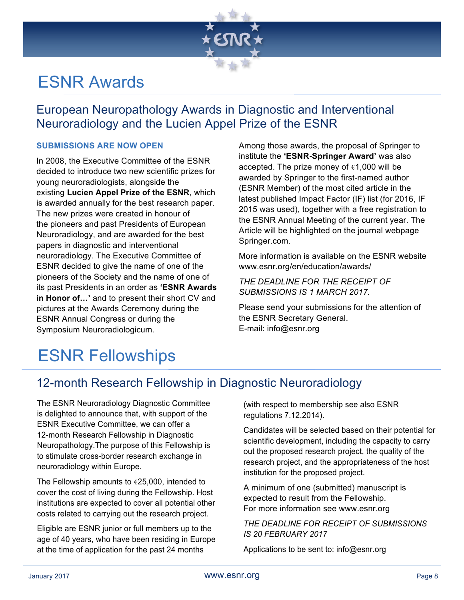

## ESNR Awards

### European Neuropathology Awards in Diagnostic and Interventional Neuroradiology and the Lucien Appel Prize of the ESNR

#### **SUBMISSIONS ARE NOW OPEN**

In 2008, the Executive Committee of the ESNR decided to introduce two new scientific prizes for young neuroradiologists, alongside the existing **Lucien Appel Prize of the ESNR**, which is awarded annually for the best research paper. The new prizes were created in honour of the pioneers and past Presidents of European Neuroradiology, and are awarded for the best papers in diagnostic and interventional neuroradiology. The Executive Committee of ESNR decided to give the name of one of the pioneers of the Society and the name of one of its past Presidents in an order as **'ESNR Awards in Honor of…'** and to present their short CV and pictures at the Awards Ceremony during the ESNR Annual Congress or during the Symposium Neuroradiologicum.

Among those awards, the proposal of Springer to institute the **'ESNR-Springer Award'** was also accepted. The prize money of  $\epsilon$ 1,000 will be awarded by Springer to the first-named author (ESNR Member) of the most cited article in the latest published Impact Factor (IF) list (for 2016, IF 2015 was used), together with a free registration to the ESNR Annual Meeting of the current year. The Article will be highlighted on the journal webpage Springer.com.

More information is available on the ESNR website www.esnr.org/en/education/awards/

*THE DEADLINE FOR THE RECEIPT OF SUBMISSIONS IS 1 MARCH 2017.*

Please send your submissions for the attention of the ESNR Secretary General. E-mail: info@esnr.org

## ESNR Fellowships

### 12-month Research Fellowship in Diagnostic Neuroradiology

The ESNR Neuroradiology Diagnostic Committee is delighted to announce that, with support of the ESNR Executive Committee, we can offer a 12-month Research Fellowship in Diagnostic Neuropathology.The purpose of this Fellowship is to stimulate cross-border research exchange in neuroradiology within Europe.

The Fellowship amounts to  $\epsilon$ 25,000, intended to cover the cost of living during the Fellowship. Host institutions are expected to cover all potential other costs related to carrying out the research project.

Eligible are ESNR junior or full members up to the age of 40 years, who have been residing in Europe at the time of application for the past 24 months

(with respect to membership see also ESNR regulations 7.12.2014).

Candidates will be selected based on their potential for scientific development, including the capacity to carry out the proposed research project, the quality of the research project, and the appropriateness of the host institution for the proposed project.

A minimum of one (submitted) manuscript is expected to result from the Fellowship. For more information see www.esnr.org

#### *THE DEADLINE FOR RECEIPT OF SUBMISSIONS IS 20 FEBRUARY 2017*

Applications to be sent to: info@esnr.org